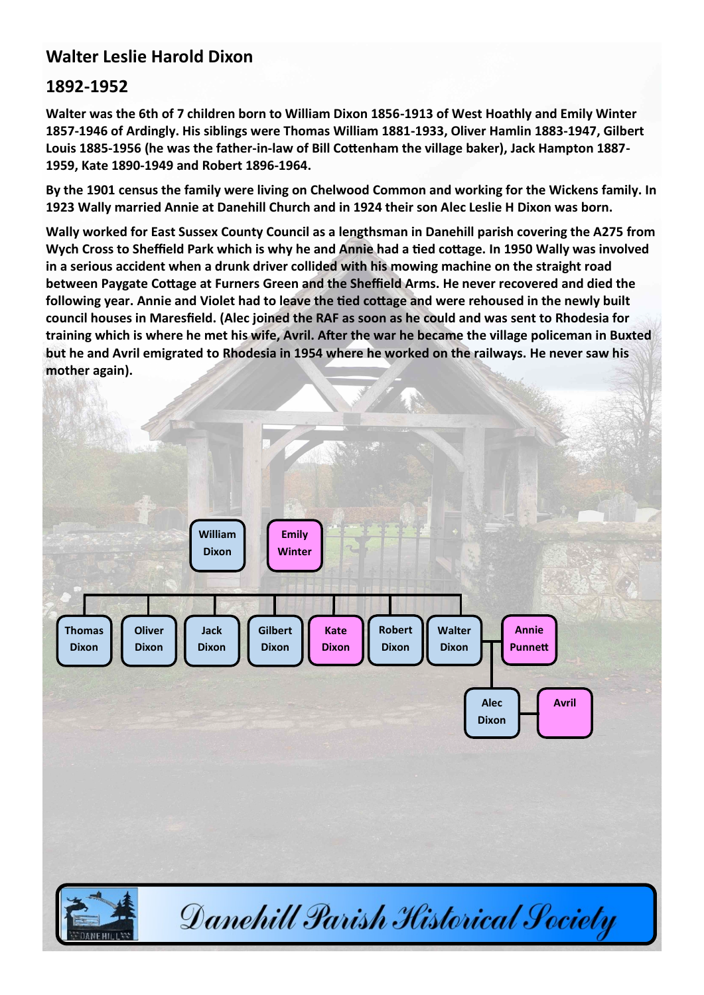## **Walter Leslie Harold Dixon**

## **1892-1952**

**Walter was the 6th of 7 children born to William Dixon 1856-1913 of West Hoathly and Emily Winter 1857-1946 of Ardingly. His siblings were Thomas William 1881-1933, Oliver Hamlin 1883-1947, Gilbert Louis 1885-1956 (he was the father-in-law of Bill Cottenham the village baker), Jack Hampton 1887- 1959, Kate 1890-1949 and Robert 1896-1964.** 

**By the 1901 census the family were living on Chelwood Common and working for the Wickens family. In 1923 Wally married Annie at Danehill Church and in 1924 their son Alec Leslie H Dixon was born.** 

**Wally worked for East Sussex County Council as a lengthsman in Danehill parish covering the A275 from Wych Cross to Sheffield Park which is why he and Annie had a tied cottage. In 1950 Wally was involved in a serious accident when a drunk driver collided with his mowing machine on the straight road between Paygate Cottage at Furners Green and the Sheffield Arms. He never recovered and died the following year. Annie and Violet had to leave the tied cottage and were rehoused in the newly built council houses in Maresfield. (Alec joined the RAF as soon as he could and was sent to Rhodesia for training which is where he met his wife, Avril. After the war he became the village policeman in Buxted but he and Avril emigrated to Rhodesia in 1954 where he worked on the railways. He never saw his mother again).**